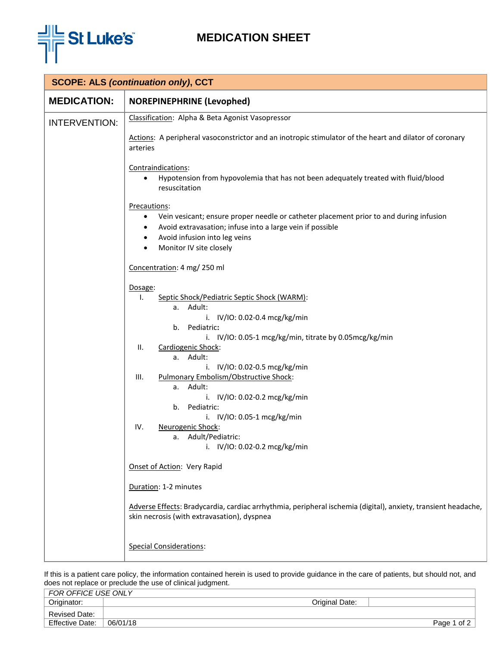

## **MEDICATION SHEET**

| <b>SCOPE: ALS (continuation only), CCT</b> |                                                                                                                                                                                                                                                                                                                                                                                                                                                                                                       |  |  |  |
|--------------------------------------------|-------------------------------------------------------------------------------------------------------------------------------------------------------------------------------------------------------------------------------------------------------------------------------------------------------------------------------------------------------------------------------------------------------------------------------------------------------------------------------------------------------|--|--|--|
| <b>MEDICATION:</b>                         | <b>NOREPINEPHRINE (Levophed)</b>                                                                                                                                                                                                                                                                                                                                                                                                                                                                      |  |  |  |
| <b>INTERVENTION:</b>                       | Classification: Alpha & Beta Agonist Vasopressor                                                                                                                                                                                                                                                                                                                                                                                                                                                      |  |  |  |
|                                            | Actions: A peripheral vasoconstrictor and an inotropic stimulator of the heart and dilator of coronary<br>arteries                                                                                                                                                                                                                                                                                                                                                                                    |  |  |  |
|                                            | Contraindications:<br>Hypotension from hypovolemia that has not been adequately treated with fluid/blood<br>resuscitation                                                                                                                                                                                                                                                                                                                                                                             |  |  |  |
|                                            | Precautions:<br>Vein vesicant; ensure proper needle or catheter placement prior to and during infusion<br>$\bullet$<br>Avoid extravasation; infuse into a large vein if possible<br>٠<br>Avoid infusion into leg veins<br>$\bullet$<br>Monitor IV site closely<br>$\bullet$                                                                                                                                                                                                                           |  |  |  |
|                                            | Concentration: 4 mg/ 250 ml                                                                                                                                                                                                                                                                                                                                                                                                                                                                           |  |  |  |
|                                            | Dosage:<br>I.<br>Septic Shock/Pediatric Septic Shock (WARM):<br>a. Adult:<br>i. IV/IO: 0.02-0.4 mcg/kg/min<br>b. Pediatric:<br>i. IV/IO: 0.05-1 mcg/kg/min, titrate by 0.05mcg/kg/min<br>Ш.<br>Cardiogenic Shock:<br>a. Adult:<br>i. IV/IO: 0.02-0.5 mcg/kg/min<br>Pulmonary Embolism/Obstructive Shock:<br>III.<br>a. Adult:<br>i. IV/IO: 0.02-0.2 mcg/kg/min<br>Pediatric:<br>b.<br>i. IV/IO: 0.05-1 mcg/kg/min<br>IV.<br>Neurogenic Shock:<br>a. Adult/Pediatric:<br>i. IV/IO: 0.02-0.2 mcg/kg/min |  |  |  |
|                                            | Onset of Action: Very Rapid<br>Duration: 1-2 minutes                                                                                                                                                                                                                                                                                                                                                                                                                                                  |  |  |  |
|                                            | Adverse Effects: Bradycardia, cardiac arrhythmia, peripheral ischemia (digital), anxiety, transient headache,<br>skin necrosis (with extravasation), dyspnea                                                                                                                                                                                                                                                                                                                                          |  |  |  |
|                                            | <b>Special Considerations:</b>                                                                                                                                                                                                                                                                                                                                                                                                                                                                        |  |  |  |

If this is a patient care policy, the information contained herein is used to provide guidance in the care of patients, but should not, and does not replace or preclude the use of clinical judgment.

| FOR OFFICE USE ONLY    |          |                |             |
|------------------------|----------|----------------|-------------|
| Originator:            |          | Original Date: |             |
| Revised Date:          |          |                |             |
| <b>Effective Date:</b> | 06/01/18 |                | Page 1 of 2 |
|                        |          |                |             |